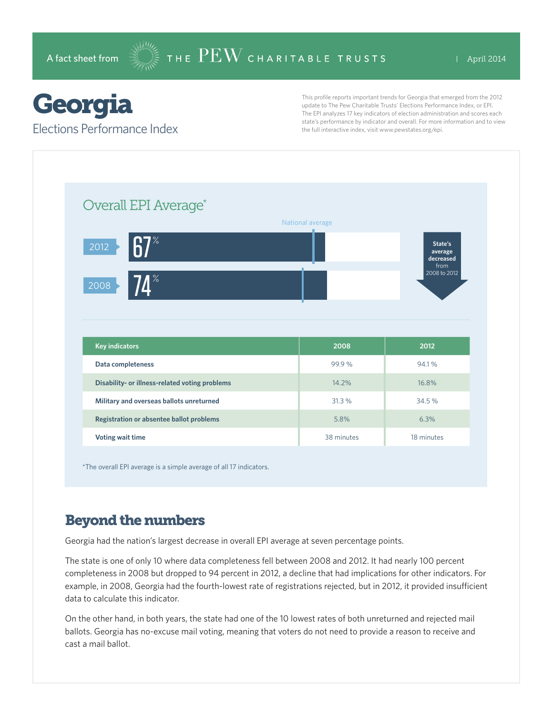## Georgia

Elections Performance Index

This profile reports important trends for Georgia that emerged from the 2012 update to The Pew Charitable Trusts' Elections Performance Index, or EPI. The EPI analyzes 17 key indicators of election administration and scores each state's performance by indicator and overall. For more information and to view the full interactive index, visit www.pewstates.org/epi.

| Overall EPI Average*                           |                  |                                         |
|------------------------------------------------|------------------|-----------------------------------------|
|                                                | National average |                                         |
| $R7^\circ$<br>2012                             |                  | State's<br>average<br>decreased<br>from |
| $\mathbf{I}^{\times}$<br>2008                  |                  | 2008 to 2012                            |
|                                                |                  |                                         |
|                                                |                  |                                         |
|                                                |                  |                                         |
| <b>Key indicators</b>                          | 2008             | 2012                                    |
| Data completeness                              | 99.9%            | 94.1%                                   |
| Disability- or illness-related voting problems | 14.2%            | 16.8%                                   |
| Military and overseas ballots unreturned       | 31.3 %           | 34.5%                                   |
| Registration or absentee ballot problems       | 5.8%             | 6.3%                                    |

\*The overall EPI average is a simple average of all 17 indicators.

## Beyond the numbers

Georgia had the nation's largest decrease in overall EPI average at seven percentage points.

The state is one of only 10 where data completeness fell between 2008 and 2012. It had nearly 100 percent completeness in 2008 but dropped to 94 percent in 2012, a decline that had implications for other indicators. For example, in 2008, Georgia had the fourth-lowest rate of registrations rejected, but in 2012, it provided insufficient data to calculate this indicator.

On the other hand, in both years, the state had one of the 10 lowest rates of both unreturned and rejected mail ballots. Georgia has no-excuse mail voting, meaning that voters do not need to provide a reason to receive and cast a mail ballot.